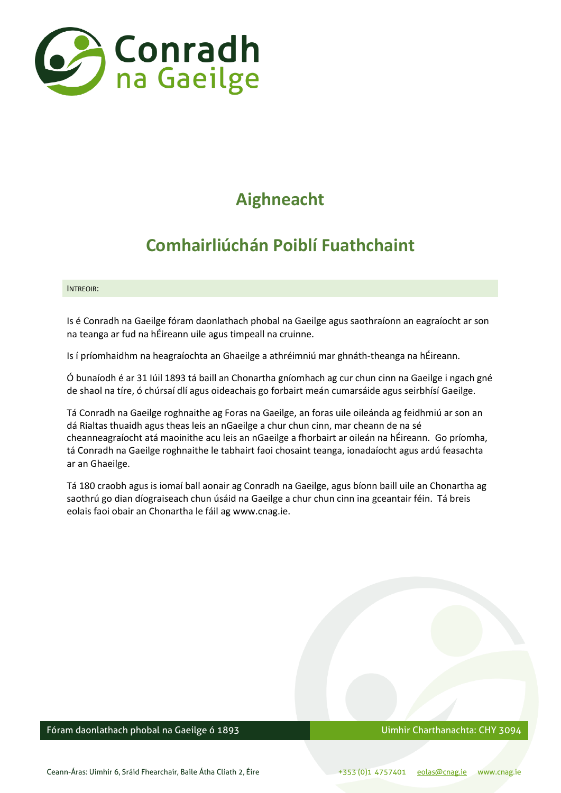

# **Aighneacht**

# **Comhairliúchán Poiblí Fuathchaint**

#### INTREOIR:

Is é Conradh na Gaeilge fóram daonlathach phobal na Gaeilge agus saothraíonn an eagraíocht ar son na teanga ar fud na hÉireann uile agus timpeall na cruinne.

Is í príomhaidhm na heagraíochta an Ghaeilge a athréimniú mar ghnáth-theanga na hÉireann.

Ó bunaíodh é ar 31 Iúil 1893 tá baill an Chonartha gníomhach ag cur chun cinn na Gaeilge i ngach gné de shaol na tíre, ó chúrsaí dlí agus oideachais go forbairt meán cumarsáide agus seirbhísí Gaeilge.

Tá Conradh na Gaeilge roghnaithe ag Foras na Gaeilge, an foras uile oileánda ag feidhmiú ar son an dá Rialtas thuaidh agus theas leis an nGaeilge a chur chun cinn, mar cheann de na sé cheanneagraíocht atá maoinithe acu leis an nGaeilge a fhorbairt ar oileán na hÉireann. Go príomha, tá Conradh na Gaeilge roghnaithe le tabhairt faoi chosaint teanga, ionadaíocht agus ardú feasachta ar an Ghaeilge.

Tá 180 craobh agus is iomaí ball aonair ag Conradh na Gaeilge, agus bíonn baill uile an Chonartha ag saothrú go dian díograiseach chun úsáid na Gaeilge a chur chun cinn ina gceantair féin. Tá breis eolais faoi obair an Chonartha le fáil ag www.cnag.ie.

## Fóram daonlathach phobal na Gaeilge ó 1893 Uimhir Charthanachta: CHY 3094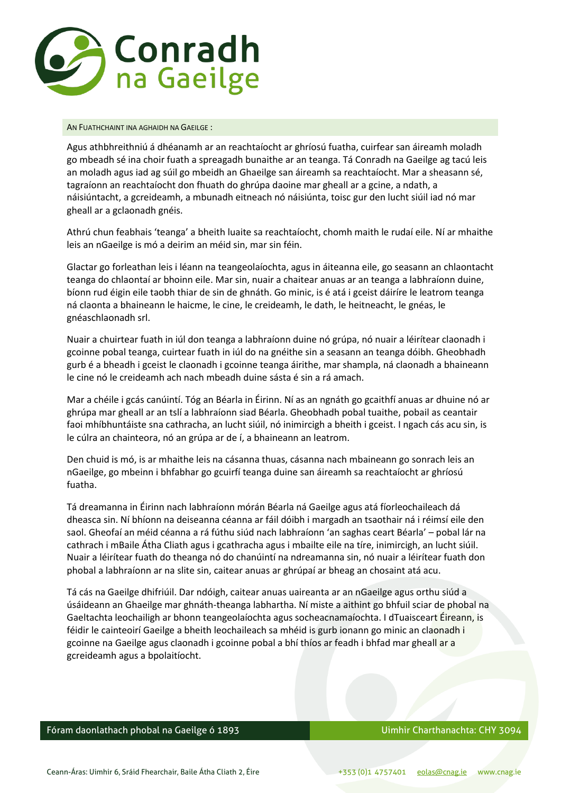

#### AN FUATHCHAINT INA AGHAIDH NA GAEILGE :

Agus athbhreithniú á dhéanamh ar an reachtaíocht ar ghríosú fuatha, cuirfear san áireamh moladh go mbeadh sé ina choir fuath a spreagadh bunaithe ar an teanga. Tá Conradh na Gaeilge ag tacú leis an moladh agus iad ag súil go mbeidh an Ghaeilge san áireamh sa reachtaíocht. Mar a sheasann sé, tagraíonn an reachtaíocht don fhuath do ghrúpa daoine mar gheall ar a gcine, a ndath, a náisiúntacht, a gcreideamh, a mbunadh eitneach nó náisiúnta, toisc gur den lucht siúil iad nó mar gheall ar a gclaonadh gnéis.

Athrú chun feabhais 'teanga' a bheith luaite sa reachtaíocht, chomh maith le rudaí eile. Ní ar mhaithe leis an nGaeilge is mó a deirim an méid sin, mar sin féin.

Glactar go forleathan leis i léann na teangeolaíochta, agus in áiteanna eile, go seasann an chlaontacht teanga do chlaontaí ar bhoinn eile. Mar sin, nuair a chaitear anuas ar an teanga a labhraíonn duine, bíonn rud éigin eile taobh thiar de sin de ghnáth. Go minic, is é atá i gceist dáiríre le leatrom teanga ná claonta a bhaineann le haicme, le cine, le creideamh, le dath, le heitneacht, le gnéas, le gnéaschlaonadh srl.

Nuair a chuirtear fuath in iúl don teanga a labhraíonn duine nó grúpa, nó nuair a léirítear claonadh i gcoinne pobal teanga, cuirtear fuath in iúl do na gnéithe sin a seasann an teanga dóibh. Gheobhadh gurb é a bheadh i gceist le claonadh i gcoinne teanga áirithe, mar shampla, ná claonadh a bhaineann le cine nó le creideamh ach nach mbeadh duine sásta é sin a rá amach.

Mar a chéile i gcás canúintí. Tóg an Béarla in Éirinn. Ní as an ngnáth go gcaithfí anuas ar dhuine nó ar ghrúpa mar gheall ar an tslí a labhraíonn siad Béarla. Gheobhadh pobal tuaithe, pobail as ceantair faoi mhíbhuntáiste sna cathracha, an lucht siúil, nó inimircigh a bheith i gceist. I ngach cás acu sin, is le cúlra an chainteora, nó an grúpa ar de í, a bhaineann an leatrom.

Den chuid is mó, is ar mhaithe leis na cásanna thuas, cásanna nach mbaineann go sonrach leis an nGaeilge, go mbeinn i bhfabhar go gcuirfí teanga duine san áireamh sa reachtaíocht ar ghríosú fuatha.

Tá dreamanna in Éirinn nach labhraíonn mórán Béarla ná Gaeilge agus atá fíorleochaileach dá dheasca sin. Ní bhíonn na deiseanna céanna ar fáil dóibh i margadh an tsaothair ná i réimsí eile den saol. Gheofaí an méid céanna a rá fúthu siúd nach labhraíonn 'an saghas ceart Béarla' – pobal lár na cathrach i mBaile Átha Cliath agus i gcathracha agus i mbailte eile na tíre, inimircigh, an lucht siúil. Nuair a léirítear fuath do theanga nó do chanúintí na ndreamanna sin, nó nuair a léirítear fuath don phobal a labhraíonn ar na slite sin, caitear anuas ar ghrúpaí ar bheag an chosaint atá acu.

Tá cás na Gaeilge dhifriúil. Dar ndóigh, caitear anuas uaireanta ar an nGaeilge agus orthu siúd a úsáideann an Ghaeilge mar ghnáth-theanga labhartha. Ní miste a aithint go bhfuil sciar de phobal na Gaeltachta leochailigh ar bhonn teangeolaíochta agus socheacnamaíochta. I dTuaisceart Éireann, is féidir le cainteoirí Gaeilge a bheith leochaileach sa mhéid is gurb ionann go minic an claonadh i gcoinne na Gaeilge agus claonadh i gcoinne pobal a bhí thíos ar feadh i bhfad mar gheall ar a gcreideamh agus a bpolaitíocht.

# Fóram daonlathach phobal na Gaeilge ó 1893 **Iomraid National Americana** Uimhir Charthanachta: CHY 3094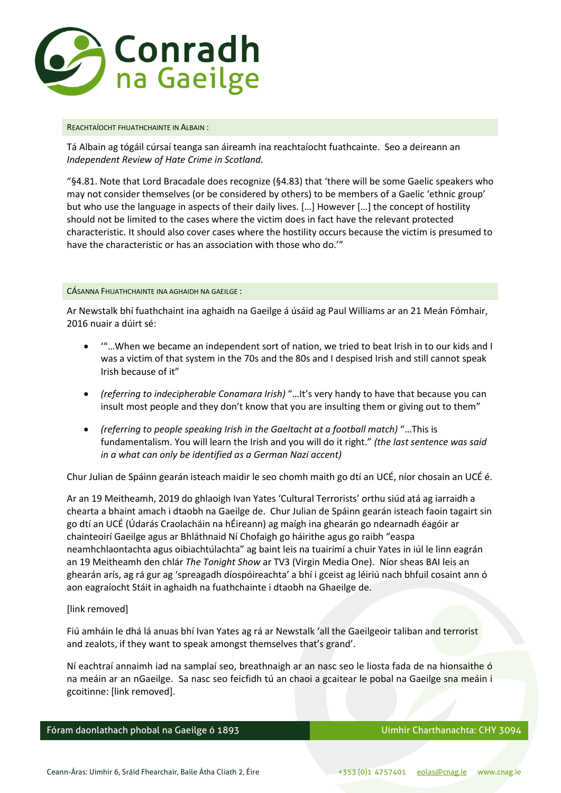

#### REACHTAÍOCHT FHUATHCHAINTE IN ALBAIN :

Tá Albain ag tógáil cúrsaí teanga san áireamh ina reachtaíocht fuathcainte. Seo a deireann an *Independent Review of Hate Crime in Scotland.* 

"§4.81. Note that Lord Bracadale does recognize (§4.83) that 'there will be some Gaelic speakers who may not consider themselves (or be considered by others) to be members of a Gaelic 'ethnic group' but who use the language in aspects of their daily lives. [...] However [...] the concept of hostility should not be limited to the cases where the victim does in fact have the relevant protected characteristic. It should also cover cases where the hostility occurs because the victim is presumed to have the characteristic or has an association with those who do.'"

#### CÁSANNA FHUATHCHAINTE INA AGHAIDH NA GAEILGE :

Ar Newstalk bhí fuathchaint ina aghaidh na Gaeilge á úsáid ag Paul Williams ar an 21 Meán Fómhair, 2016 nuair a dúirt sé:

- '"…When we became an independent sort of nation, we tried to beat Irish in to our kids and I was a victim of that system in the 70s and the 80s and I despised Irish and still cannot speak Irish because of it"
- *(referring to indecipherable Conamara Irish)* "…It's very handy to have that because you can insult most people and they don't know that you are insulting them or giving out to them"
- *(referring to people speaking Irish in the Gaeltacht at a football match)* "…This is fundamentalism. You will learn the Irish and you will do it right." *(the last sentence was said in a what can only be identified as a German Nazi accent)*

Chur Julian de Spáinn gearán isteach maidir le seo chomh maith go dtí an UCÉ, níor chosain an UCÉ é.

Ar an 19 Meitheamh, 2019 do ghlaoigh Ivan Yates 'Cultural Terrorists' orthu siúd atá ag iarraidh a chearta a bhaint amach i dtaobh na Gaeilge de. Chur Julian de Spáinn gearán isteach faoin tagairt sin go dtí an UCÉ (Údarás Craolacháin na hÉireann) ag maígh ina ghearán go ndearnadh éagóir ar chainteoirí Gaeilge agus ar Bhláthnaid Ní Chofaigh go háirithe agus go raibh "easpa neamhchlaontachta agus oibiachtúlachta" ag baint leis na tuairimí a chuir Yates in iúl le linn eagrán an 19 Meitheamh den chlár *The Tonight Show* ar TV3 (Virgin Media One). Níor sheas BAI leis an ghearán arís, ag rá gur ag 'spreagadh díospóireachta' a bhí i gceist ag léiriú nach bhfuil cosaint ann ó aon eagraíocht Stáit in aghaidh na fuathchainte i dtaobh na Ghaeilge de.

## [link removed]

Fiú amháin le dhá lá anuas bhí Ivan Yates ag rá ar Newstalk 'all the Gaeilgeoir taliban and terrorist and zealots, if they want to speak amongst themselves that's grand'.

Ní eachtraí annaimh iad na samplaí seo, breathnaigh ar an nasc seo le liosta fada de na hionsaithe ó na meáin ar an nGaeilge. Sa nasc seo feicfidh tú an chaoi a gcaitear le pobal na Gaeilge sna meáin i gcoitinne: [link removed].

Fóram daonlathach phobal na Gaeilge ó 1893 **Iomraid National Americana** Uimhir Charthanachta: CHY 3094